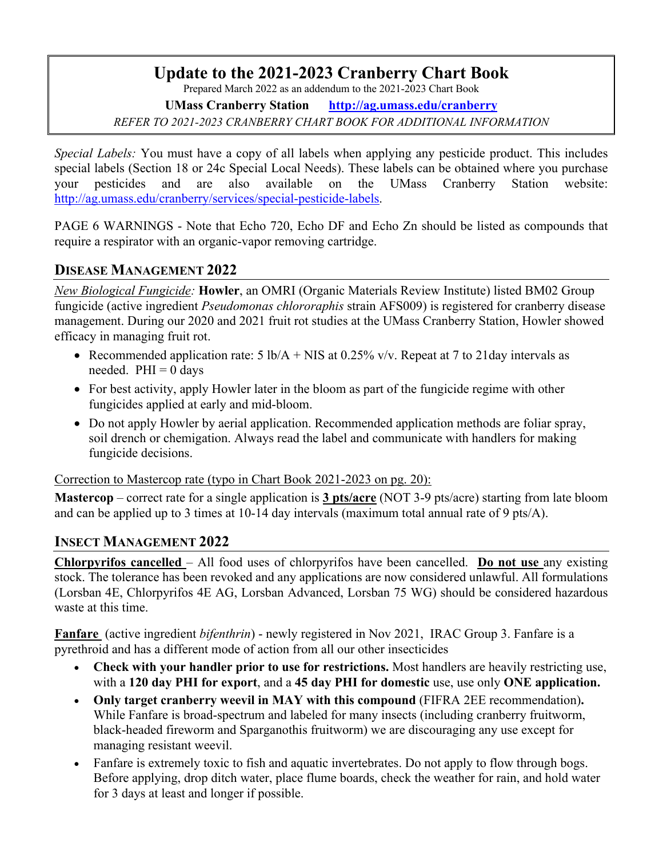# **Update to the 2021-2023 Cranberry Chart Book**

Prepared March 2022 as an addendum to the 2021-2023 Chart Book

**UMass Cranberry Station http://ag.umass.edu/cranberry**

*REFER TO 2021-2023 CRANBERRY CHART BOOK FOR ADDITIONAL INFORMATION*

*Special Labels:* You must have a copy of all labels when applying any pesticide product. This includes special labels (Section 18 or 24c Special Local Needs). These labels can be obtained where you purchase your pesticides and are also available on the UMass Cranberry Station website: http://ag.umass.edu/cranberry/services/special-pesticide-labels.

PAGE 6 WARNINGS - Note that Echo 720, Echo DF and Echo Zn should be listed as compounds that require a respirator with an organic-vapor removing cartridge.

## **DISEASE MANAGEMENT 2022**

*New Biological Fungicide:* **Howler**, an OMRI (Organic Materials Review Institute) listed BM02 Group fungicide (active ingredient *Pseudomonas chlororaphis* strain AFS009) is registered for cranberry disease management. During our 2020 and 2021 fruit rot studies at the UMass Cranberry Station, Howler showed efficacy in managing fruit rot.

- Recommended application rate:  $5 \text{ lb/A} + \text{NIS}$  at 0.25% v/v. Repeat at 7 to 21 day intervals as needed.  $PHI = 0$  days
- For best activity, apply Howler later in the bloom as part of the fungicide regime with other fungicides applied at early and mid-bloom.
- Do not apply Howler by aerial application. Recommended application methods are foliar spray, soil drench or chemigation. Always read the label and communicate with handlers for making fungicide decisions.

Correction to Mastercop rate (typo in Chart Book 2021-2023 on pg. 20):

**Mastercop** – correct rate for a single application is **3 pts/acre** (NOT 3-9 pts/acre) starting from late bloom and can be applied up to 3 times at 10-14 day intervals (maximum total annual rate of 9 pts/A).

### **INSECT MANAGEMENT 2022**

**Chlorpyrifos cancelled** – All food uses of chlorpyrifos have been cancelled. **Do not use** any existing stock. The tolerance has been revoked and any applications are now considered unlawful. All formulations (Lorsban 4E, Chlorpyrifos 4E AG, Lorsban Advanced, Lorsban 75 WG) should be considered hazardous waste at this time.

**Fanfare** (active ingredient *bifenthrin*) - newly registered in Nov 2021, IRAC Group 3. Fanfare is a pyrethroid and has a different mode of action from all our other insecticides

- **Check with your handler prior to use for restrictions.** Most handlers are heavily restricting use, with a **120 day PHI for export**, and a **45 day PHI for domestic** use, use only **ONE application.**
- **Only target cranberry weevil in MAY with this compound** (FIFRA 2EE recommendation)**.** While Fanfare is broad-spectrum and labeled for many insects (including cranberry fruitworm, black-headed fireworm and Sparganothis fruitworm) we are discouraging any use except for managing resistant weevil.
- Fanfare is extremely toxic to fish and aquatic invertebrates. Do not apply to flow through bogs. Before applying, drop ditch water, place flume boards, check the weather for rain, and hold water for 3 days at least and longer if possible.